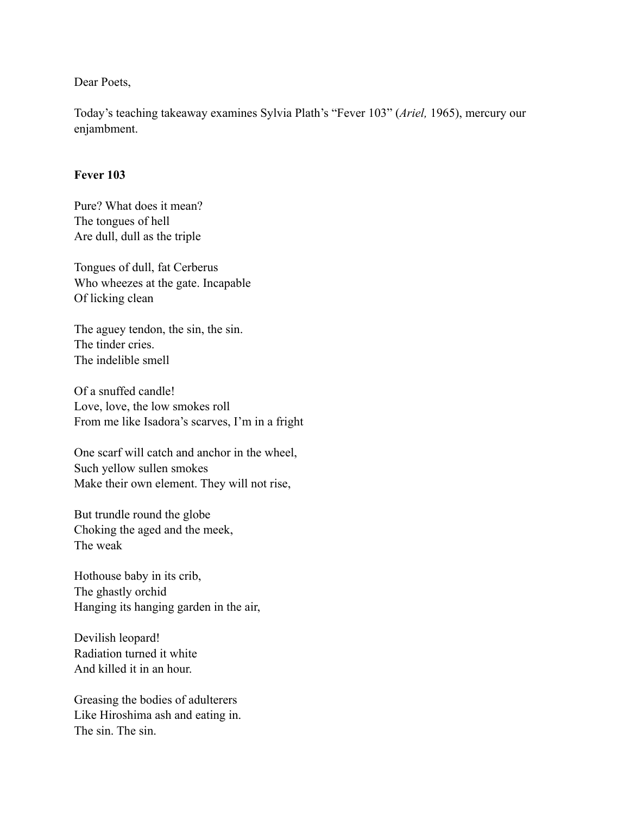Dear Poets,

Today's teaching takeaway examines Sylvia Plath's "Fever 103" (*Ariel,* 1965), mercury our enjambment.

## **Fever 103**

Pure? What does it mean? The tongues of hell Are dull, dull as the triple

Tongues of dull, fat Cerberus Who wheezes at the gate. Incapable Of licking clean

The aguey tendon, the sin, the sin. The tinder cries. The indelible smell

Of a snuffed candle! Love, love, the low smokes roll From me like Isadora's scarves, I'm in a fright

One scarf will catch and anchor in the wheel, Such yellow sullen smokes Make their own element. They will not rise,

But trundle round the globe Choking the aged and the meek, The weak

Hothouse baby in its crib, The ghastly orchid Hanging its hanging garden in the air,

Devilish leopard! Radiation turned it white And killed it in an hour.

Greasing the bodies of adulterers Like Hiroshima ash and eating in. The sin. The sin.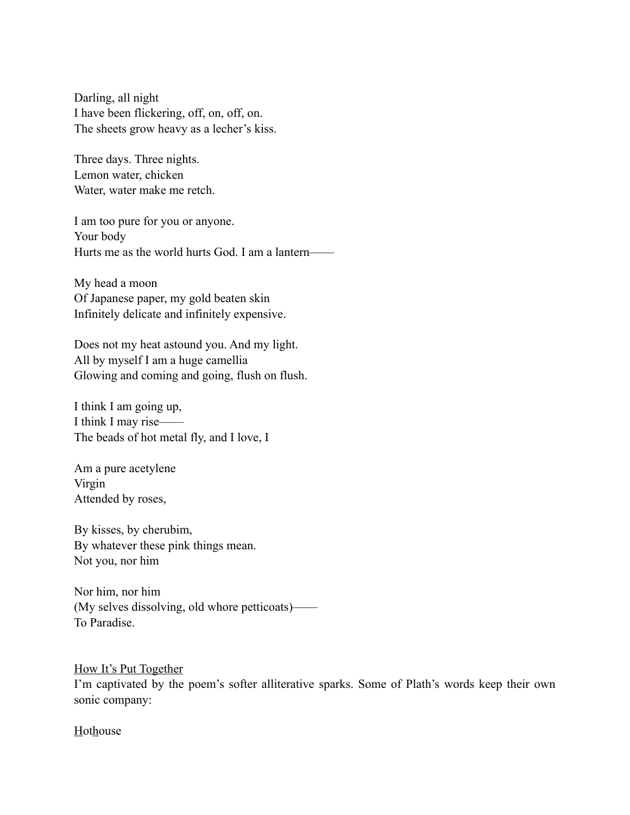Darling, all night I have been flickering, off, on, off, on. The sheets grow heavy as a lecher's kiss.

Three days. Three nights. Lemon water, chicken Water, water make me retch.

I am too pure for you or anyone. Your body Hurts me as the world hurts God. I am a lantern——

My head a moon Of Japanese paper, my gold beaten skin Infinitely delicate and infinitely expensive.

Does not my heat astound you. And my light. All by myself I am a huge camellia Glowing and coming and going, flush on flush.

I think I am going up, I think I may rise—— The beads of hot metal fly, and I love, I

Am a pure acetylene Virgin Attended by roses,

By kisses, by cherubim, By whatever these pink things mean. Not you, nor him

Nor him, nor him (My selves dissolving, old whore petticoats)—— To Paradise.

How It's Put Together I'm captivated by the poem's softer alliterative sparks. Some of Plath's words keep their own sonic company:

Hothouse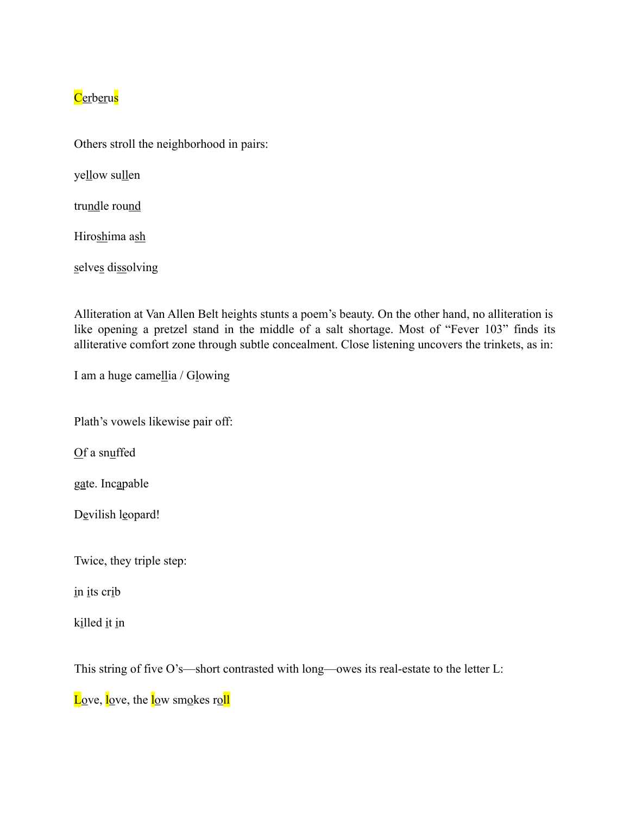## Cerberus

Others stroll the neighborhood in pairs:

yellow sullen

trundle round

Hiroshima ash

selves dissolving

Alliteration at Van Allen Belt heights stunts a poem's beauty. On the other hand, no alliteration is like opening a pretzel stand in the middle of a salt shortage. Most of "Fever 103" finds its alliterative comfort zone through subtle concealment. Close listening uncovers the trinkets, as in:

I am a huge camellia / Glowing

Plath's vowels likewise pair off:

Of a snuffed

gate. Incapable

Devilish leopard!

Twice, they triple step:

in its crib

killed it in

This string of five O's—short contrasted with long—owes its real-estate to the letter L:

Love, love, the low smokes roll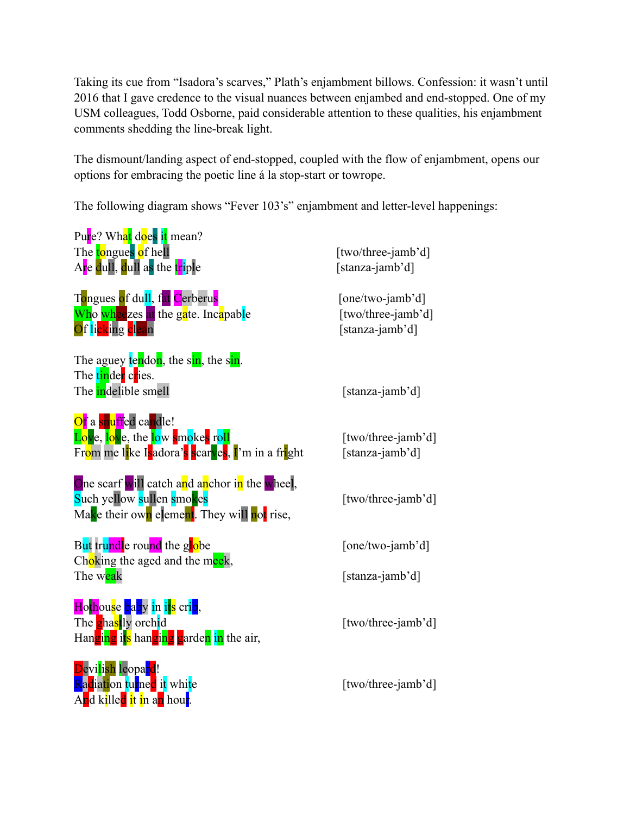Taking its cue from "Isadora's scarves," Plath's enjambment billows. Confession: it wasn't until 2016 that I gave credence to the visual nuances between enjambed and end-stopped. One of my USM colleagues, Todd Osborne, paid considerable attention to these qualities, his enjambment comments shedding the line-break light.

The dismount/landing aspect of end-stopped, coupled with the flow of enjambment, opens our options for embracing the poetic line á la stop-start or towrope.

The following diagram shows "Fever 103's" enjambment and letter-level happenings:

| Pure? What does it mean?<br>The tongues of hell<br>Are dull, dull as the triple                                                                       | [two/three-jamb'd]<br>[stanza-jamb'd]                     |
|-------------------------------------------------------------------------------------------------------------------------------------------------------|-----------------------------------------------------------|
| Tongues of dull, fat Cerberus<br>Who wheezes at the gate. Incapable<br>Of licking clean                                                               | [one/two-jamb'd]<br>[two/three-jamb'd]<br>[stanza-jamb'd] |
| The aguey tendon, the sin, the sin.<br>The tinder cries.<br>The indelible smell                                                                       | [stanza-jamb'd]                                           |
| Of a snuffed candle!<br>Love, love, the low smokes roll<br>Fr <mark>om me li</mark> ke Isadora's scarves, I'm in a fright                             | [two/three-jamb'd]<br>[stanza-jamb'd]                     |
| One scarf will catch and anchor in the wheel,<br>Such yellow sullen smokes<br>Make their own element. They will not rise,                             | [two/three-jamb'd]                                        |
| But trundle round the globe                                                                                                                           | [one/two-jamb'd]                                          |
| Choking the aged and the meek,<br>The weak                                                                                                            | [stanza-jamb'd]                                           |
| Hothouse baby in its crib,<br>The <b>g</b> hastly orchid<br>Hanging its hanging garden in the air,                                                    | [two/three-jamb'd]                                        |
| Devilish leopard!<br>Radiation turned it white<br>A <mark>n</mark> d k <mark>i</mark> lle <mark>d i</mark> t in a <mark>n</mark> hou <mark>r</mark> . | [two/three-jamb'd]                                        |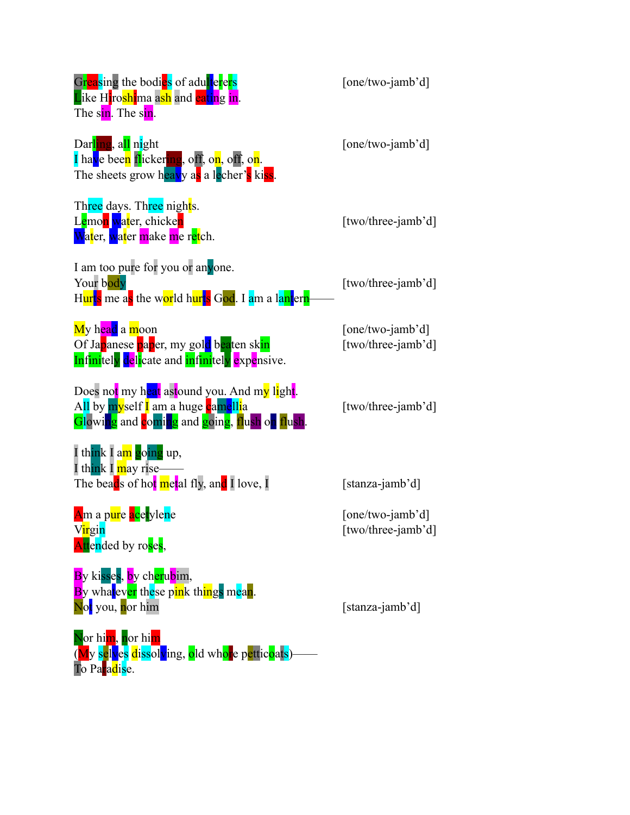| Greasing the bodies of adulterers<br>Like Hiroshima ash and eating in.<br>The sin. The sin.                                                                                                  | [one/two-jamb'd]                       |
|----------------------------------------------------------------------------------------------------------------------------------------------------------------------------------------------|----------------------------------------|
| Darling, all night<br>I have been flickering, off, on, off, on.<br>The sheets grow heavy as a lecher's kiss.                                                                                 | [one/two-jamb'd]                       |
| Three days. Three nights.<br>Lemon water, chicken<br><mark>Wat</mark> er, <mark>wat</mark> er <mark>m</mark> ake <mark>m</mark> e r <mark>et</mark> ch.                                      | [two/three-jamb'd]                     |
| I am too pure for you or anyone.<br>Your body<br>H <mark>urts</mark> me a <mark>s</mark> the w <mark>or</mark> ld h <mark>urts</mark> God. I am a lantern                                    | [two/three-jamb'd]                     |
| My head a moon<br>Of Japanese paper, my gold beaten skin<br><b>Infinitely delicate and infinitely expensive.</b>                                                                             | [one/two-jamb'd]<br>[two/three-jamb'd] |
| Does no <mark>t</mark> my h <mark>eat</mark> astound you. And m <mark>y li</mark> gh <mark>t</mark> .<br>All by myself I am a huge camellia<br>Glowing and coming and going, flush on flush. | [two/three-jamb'd]                     |
| I think I am going up,<br>I think I may rise-<br>The beads of hot metal fly, and I love, I                                                                                                   | [stanza-jamb'd]                        |
| Am a p <mark>ur</mark> e acetylene<br>Virgin<br>Attended by roses,                                                                                                                           | [one/two-jamb'd]<br>[two/three-jamb'd] |
| By kisses, by cherubim,<br>By whatever these pink things mean.<br>Not you, nor him                                                                                                           | [stanza-jamb'd]                        |
| Nor him, nor him<br>(My selves dissolving, old whore petticoats)<br>To Paradise.                                                                                                             |                                        |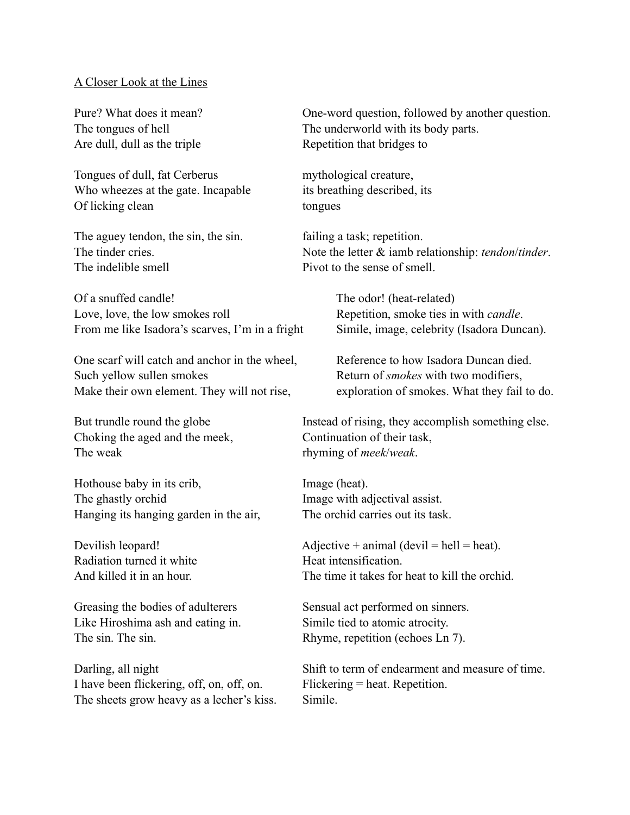## A Closer Look at the Lines

Are dull, dull as the triple Repetition that bridges to

Tongues of dull, fat Cerberus mythological creature, Who wheezes at the gate. Incapable its breathing described, its Of licking clean tongues

The aguey tendon, the sin, the sin. failing a task; repetition. The indelible smell **P**ivot to the sense of smell.

Of a snuffed candle! The odor! (heat-related) Love, love, the low smokes roll Repetition, smoke ties in with *candle*. From me like Isadora's scarves, I'm in a fright Simile, image, celebrity (Isadora Duncan).

One scarf will catch and anchor in the wheel, Reference to how Isadora Duncan died. Such yellow sullen smokes Return of *smokes* with two modifiers, Make their own element. They will not rise, exploration of smokes. What they fail to do.

Choking the aged and the meek, Continuation of their task, The weak rhyming of *meek*/*weak*.

Hothouse baby in its crib, Image (heat). The ghastly orchid Image with adjectival assist. Hanging its hanging garden in the air, The orchid carries out its task.

Radiation turned it white Heat intensification.

Like Hiroshima ash and eating in. Simile tied to atomic atrocity. The sin. The sin. The sin. Rhyme, repetition (echoes Ln 7).

I have been flickering, off, on, off, on. Flickering = heat. Repetition. The sheets grow heavy as a lecher's kiss. Simile.

Pure? What does it mean? One-word question, followed by another question. The tongues of hell The underworld with its body parts.

The tinder cries. Note the letter  $\&$  iamb relationship: *tendon/tinder*.

But trundle round the globe Instead of rising, they accomplish something else.

Devilish leopard!  $\text{Adjective} + \text{animal (devil} = \text{hell} = \text{heat}).$ And killed it in an hour. The time it takes for heat to kill the orchid

Greasing the bodies of adulterers Sensual act performed on sinners.

Darling, all night Shift to term of endearment and measure of time.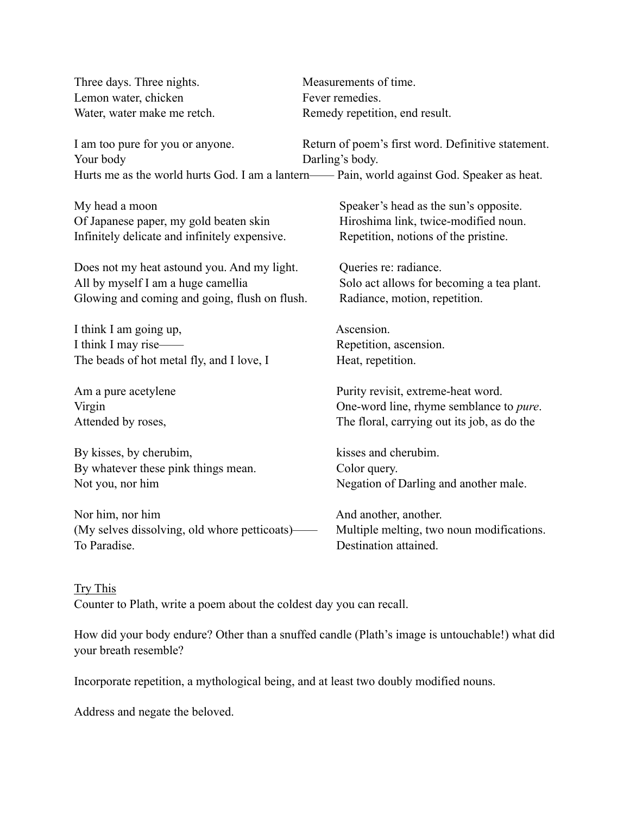| Three days. Three nights.                                                                    | Measurements of time.                                                 |  |
|----------------------------------------------------------------------------------------------|-----------------------------------------------------------------------|--|
| Lemon water, chicken                                                                         | Fever remedies.                                                       |  |
| Water, water make me retch.                                                                  | Remedy repetition, end result.                                        |  |
| I am too pure for you or anyone.<br>Your body                                                | Return of poem's first word. Definitive statement.<br>Darling's body. |  |
| Hurts me as the world hurts God. I am a lantern--- Pain, world against God. Speaker as heat. |                                                                       |  |
| My head a moon                                                                               | Speaker's head as the sun's opposite.                                 |  |
| Of Japanese paper, my gold beaten skin                                                       | Hiroshima link, twice-modified noun.                                  |  |
| Infinitely delicate and infinitely expensive.                                                | Repetition, notions of the pristine.                                  |  |
| Does not my heat astound you. And my light.                                                  | Queries re: radiance.                                                 |  |
| All by myself I am a huge camellia                                                           | Solo act allows for becoming a tea plant.                             |  |
| Glowing and coming and going, flush on flush.                                                | Radiance, motion, repetition.                                         |  |
| I think I am going up,                                                                       | Ascension.                                                            |  |
| I think I may rise-                                                                          | Repetition, ascension.                                                |  |
| The beads of hot metal fly, and I love, I                                                    | Heat, repetition.                                                     |  |
| Am a pure acetylene                                                                          | Purity revisit, extreme-heat word.                                    |  |
| Virgin                                                                                       | One-word line, rhyme semblance to <i>pure</i> .                       |  |
| Attended by roses,                                                                           | The floral, carrying out its job, as do the                           |  |
| By kisses, by cherubim,                                                                      | kisses and cherubim.                                                  |  |
| By whatever these pink things mean.                                                          | Color query.                                                          |  |
| Not you, nor him                                                                             | Negation of Darling and another male.                                 |  |
| Nor him, nor him                                                                             | And another, another.                                                 |  |
| (My selves dissolving, old whore petticoats)–                                                | Multiple melting, two noun modifications.                             |  |
| To Paradise.                                                                                 | Destination attained.                                                 |  |

Try This Counter to Plath, write a poem about the coldest day you can recall.

How did your body endure? Other than a snuffed candle (Plath's image is untouchable!) what did your breath resemble?

Incorporate repetition, a mythological being, and at least two doubly modified nouns.

Address and negate the beloved.